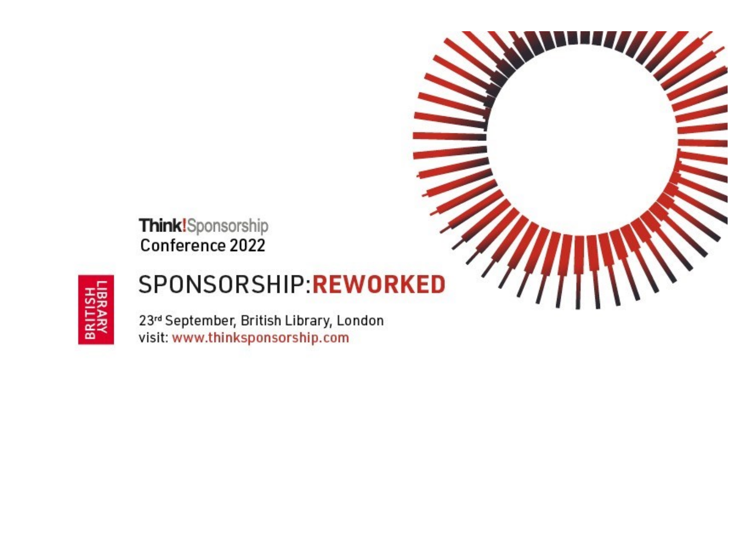



# SPONSORSHIP:REWORKED

23rd September, British Library, London visit: www.thinksponsorship.com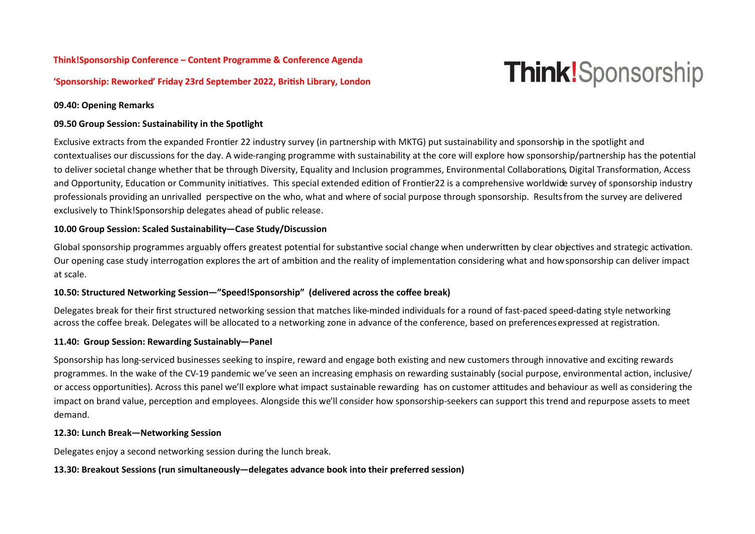## **Think!Sponsorship Conference – Content Programme & Conference Agenda**

#### **'Sponsorship: Reworked' Friday 23rd September 2022, British Library, London**

# **Think!**Sponsorship

#### **09.40: Opening Remarks**

#### **09.50 Group Session: Sustainability in the Spotlight**

Exclusive extracts from the expanded Frontier 22 industry survey (in partnership with MKTG) put sustainability and sponsorship in the spotlight and contextualises our discussions for the day. A wide-ranging programme with sustainability at the core will explore how sponsorship/partnership has the potential to deliver societal change whether that be through Diversity, Equality and Inclusion programmes, Environmental Collaborations, Digital Transformation, Access and Opportunity, Education or Community initiatives. This special extended edition of Frontier22 is a comprehensive worldwide survey of sponsorship industry professionals providing an unrivalled perspective on the who, what and where of social purpose through sponsorship. Resultsfrom the survey are delivered exclusively to Think!Sponsorship delegates ahead of public release.

#### **10.00 Group Session: Scaled Sustainability—Case Study/Discussion**

Global sponsorship programmes arguably offers greatest potential for substantive social change when underwritten by clear objectives and strategic activation. Our opening case study interrogation explores the art of ambition and the reality of implementation considering what and how sponsorship can deliver impact at scale.

#### **10.50: Structured Networking Session—"Speed!Sponsorship" (delivered across the coffee break)**

Delegates break for their first structured networking session that matches like-minded individuals for a round of fast-paced speed-dating style networking across the coffee break. Delegates will be allocated to a networking zone in advance of the conference, based on preferences expressed at registration.

#### **11.40: Group Session: Rewarding Sustainably—Panel**

Sponsorship has long-serviced businesses seeking to inspire, reward and engage both existing and new customers through innovative and exciting rewards programmes. In the wake of the CV-19 pandemic we've seen an increasing emphasis on rewarding sustainably (social purpose, environmental action, inclusive/ or access opportunities). Across this panel we'll explore what impact sustainable rewarding has on customer attitudes and behaviour as well as considering the impact on brand value, perception and employees. Alongside this we'll consider how sponsorship-seekers can support this trend and repurpose assets to meet demand.

#### **12.30: Lunch Break—Networking Session**

Delegates enjoy a second networking session during the lunch break.

#### **13.30: Breakout Sessions (run simultaneously—delegates advance book into their preferred session)**